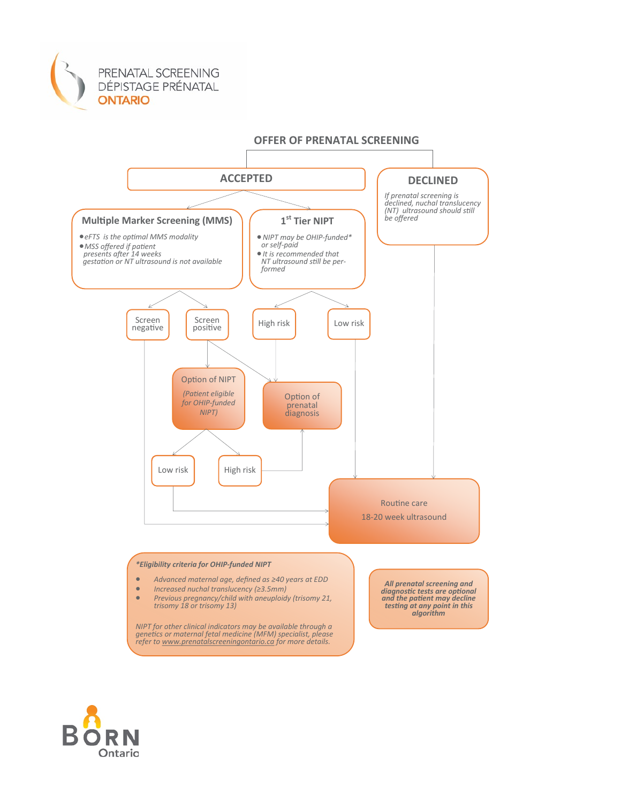



Ontario